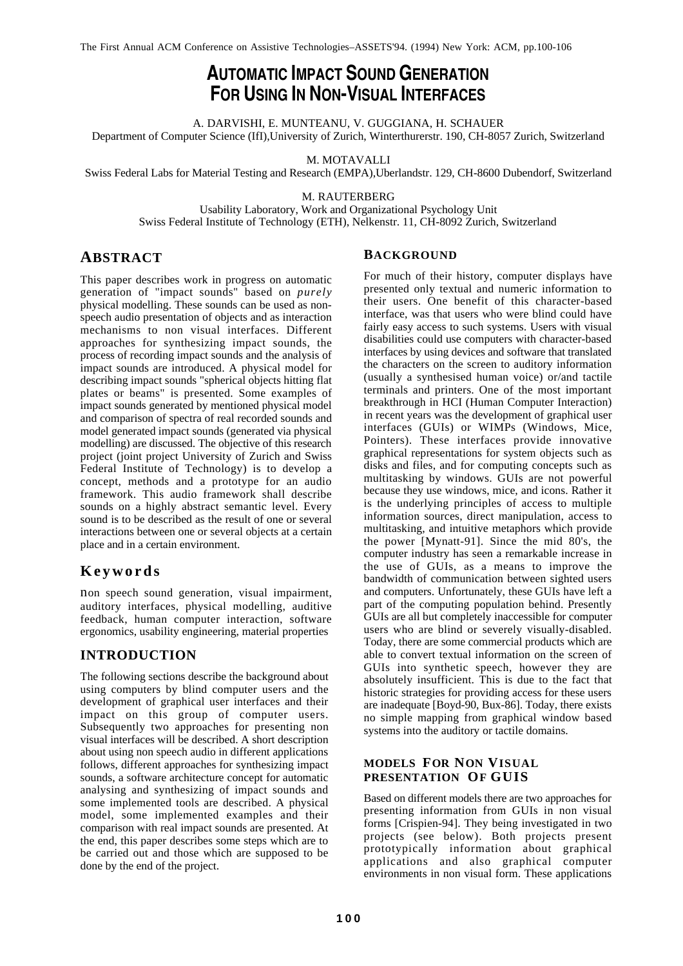# **AUTOMATIC IMPACT SOUND GENERATION FOR USING IN NON-VISUAL INTERFACES**

A. DARVISHI, E. MUNTEANU, V. GUGGIANA, H. SCHAUER

Department of Computer Science (IfI),University of Zurich, Winterthurerstr. 190, CH-8057 Zurich, Switzerland

M. MOTAVALLI Swiss Federal Labs for Material Testing and Research (EMPA),Uberlandstr. 129, CH-8600 Dubendorf, Switzerland

M. RAUTERBERG

Usability Laboratory, Work and Organizational Psychology Unit Swiss Federal Institute of Technology (ETH), Nelkenstr. 11, CH-8092 Zurich, Switzerland

# **ABSTRACT**

This paper describes work in progress on automatic generation of "impact sounds" based on *purely* physical modelling. These sounds can be used as nonspeech audio presentation of objects and as interaction mechanisms to non visual interfaces. Different approaches for synthesizing impact sounds, the process of recording impact sounds and the analysis of impact sounds are introduced. A physical model for describing impact sounds "spherical objects hitting flat plates or beams" is presented. Some examples of impact sounds generated by mentioned physical model and comparison of spectra of real recorded sounds and model generated impact sounds (generated via physical modelling) are discussed. The objective of this research project (joint project University of Zurich and Swiss Federal Institute of Technology) is to develop a concept, methods and a prototype for an audio framework. This audio framework shall describe sounds on a highly abstract semantic level. Every sound is to be described as the result of one or several interactions between one or several objects at a certain place and in a certain environment.

# **Keywords**

non speech sound generation, visual impairment, auditory interfaces, physical modelling, auditive feedback, human computer interaction, software ergonomics, usability engineering, material properties

# **INTRODUCTION**

The following sections describe the background about using computers by blind computer users and the development of graphical user interfaces and their impact on this group of computer users. Subsequently two approaches for presenting non visual interfaces will be described. A short description about using non speech audio in different applications follows, different approaches for synthesizing impact sounds, a software architecture concept for automatic analysing and synthesizing of impact sounds and some implemented tools are described. A physical model, some implemented examples and their comparison with real impact sounds are presented. At the end, this paper describes some steps which are to be carried out and those which are supposed to be done by the end of the project.

# **BACKGROUND**

For much of their history, computer displays have presented only textual and numeric information to their users. One benefit of this character-based interface, was that users who were blind could have fairly easy access to such systems. Users with visual disabilities could use computers with character-based interfaces by using devices and software that translated the characters on the screen to auditory information (usually a synthesised human voice) or/and tactile terminals and printers. One of the most important breakthrough in HCI (Human Computer Interaction) in recent years was the development of graphical user interfaces (GUIs) or WIMPs (Windows, Mice, Pointers). These interfaces provide innovative graphical representations for system objects such as disks and files, and for computing concepts such as multitasking by windows. GUIs are not powerful because they use windows, mice, and icons. Rather it is the underlying principles of access to multiple information sources, direct manipulation, access to multitasking, and intuitive metaphors which provide the power [Mynatt-91]. Since the mid 80's, the computer industry has seen a remarkable increase in the use of GUIs, as a means to improve the bandwidth of communication between sighted users and computers. Unfortunately, these GUIs have left a part of the computing population behind. Presently GUIs are all but completely inaccessible for computer users who are blind or severely visually-disabled. Today, there are some commercial products which are able to convert textual information on the screen of GUIs into synthetic speech, however they are absolutely insufficient. This is due to the fact that historic strategies for providing access for these users are inadequate [Boyd-90, Bux-86]. Today, there exists no simple mapping from graphical window based systems into the auditory or tactile domains.

# **MODELS FOR NON VISUAL PRESENTATION OF GUIS**

Based on different models there are two approaches for presenting information from GUIs in non visual forms [Crispien-94]. They being investigated in two projects (see below). Both projects present prototypically information about graphical applications and also graphical computer environments in non visual form. These applications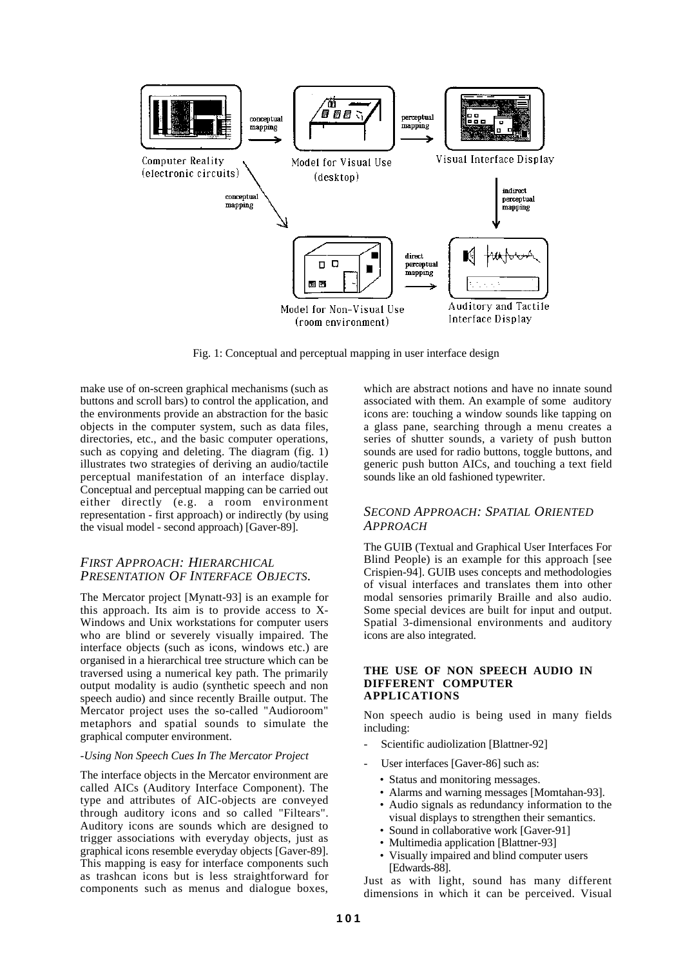

Fig. 1: Conceptual and perceptual mapping in user interface design

make use of on-screen graphical mechanisms (such as buttons and scroll bars) to control the application, and the environments provide an abstraction for the basic objects in the computer system, such as data files, directories, etc., and the basic computer operations, such as copying and deleting. The diagram (fig. 1) illustrates two strategies of deriving an audio/tactile perceptual manifestation of an interface display. Conceptual and perceptual mapping can be carried out either directly (e.g. a room environment representation - first approach) or indirectly (by using the visual model - second approach) [Gaver-89].

# *FIRST APPROACH: HIERARCHICAL PRESENTATION OF INTERFACE OBJECTS.*

The Mercator project [Mynatt-93] is an example for this approach. Its aim is to provide access to X-Windows and Unix workstations for computer users who are blind or severely visually impaired. The interface objects (such as icons, windows etc.) are organised in a hierarchical tree structure which can be traversed using a numerical key path. The primarily output modality is audio (synthetic speech and non speech audio) and since recently Braille output. The Mercator project uses the so-called "Audioroom" metaphors and spatial sounds to simulate the graphical computer environment.

### *-Using Non Speech Cues In The Mercator Project*

The interface objects in the Mercator environment are called AICs (Auditory Interface Component). The type and attributes of AIC-objects are conveyed through auditory icons and so called "Filtears". Auditory icons are sounds which are designed to trigger associations with everyday objects, just as graphical icons resemble everyday objects [Gaver-89]. This mapping is easy for interface components such as trashcan icons but is less straightforward for components such as menus and dialogue boxes,

which are abstract notions and have no innate sound associated with them. An example of some auditory icons are: touching a window sounds like tapping on a glass pane, searching through a menu creates a series of shutter sounds, a variety of push button sounds are used for radio buttons, toggle buttons, and generic push button AICs, and touching a text field sounds like an old fashioned typewriter.

# *SECOND APPROACH: SPATIAL ORIENTED APPROACH*

The GUIB (Textual and Graphical User Interfaces For Blind People) is an example for this approach [see Crispien-94]. GUIB uses concepts and methodologies of visual interfaces and translates them into other modal sensories primarily Braille and also audio. Some special devices are built for input and output. Spatial 3-dimensional environments and auditory icons are also integrated.

### **THE USE OF NON SPEECH AUDIO IN DIFFERENT COMPUTER APPLICATIONS**

Non speech audio is being used in many fields including:

- Scientific audiolization [Blattner-92]
- User interfaces [Gaver-86] such as:
	- Status and monitoring messages.
	- Alarms and warning messages [Momtahan-93].
	- Audio signals as redundancy information to the visual displays to strengthen their semantics.
	- Sound in collaborative work [Gaver-91]
	- Multimedia application [Blattner-93]
	- Visually impaired and blind computer users [Edwards-88].

Just as with light, sound has many different dimensions in which it can be perceived. Visual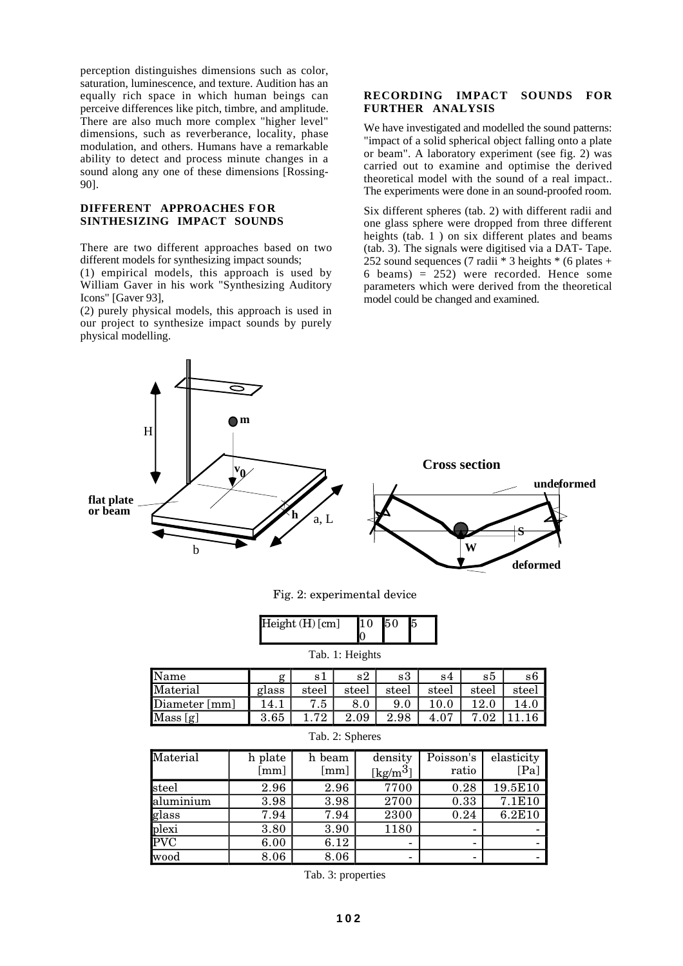perception distinguishes dimensions such as color, saturation, luminescence, and texture. Audition has an equally rich space in which human beings can perceive differences like pitch, timbre, and amplitude. There are also much more complex "higher level" dimensions, such as reverberance, locality, phase modulation, and others. Humans have a remarkable ability to detect and process minute changes in a sound along any one of these dimensions [Rossing-90].

## **DIFFERENT APPROACHES FOR SINTHESIZING IMPACT SOUNDS**

There are two different approaches based on two different models for synthesizing impact sounds;

(1) empirical models, this approach is used by William Gaver in his work "Synthesizing Auditory Icons" [Gaver 93],

(2) purely physical models, this approach is used in our project to synthesize impact sounds by purely physical modelling.

# **RECORDING IMPACT SOUNDS FOR FURTHER ANALYSIS**

We have investigated and modelled the sound patterns: "impact of a solid spherical object falling onto a plate or beam". A laboratory experiment (see fig. 2) was carried out to examine and optimise the derived theoretical model with the sound of a real impact.. The experiments were done in an sound-proofed room.

Six different spheres (tab. 2) with different radii and one glass sphere were dropped from three different heights (tab. 1 ) on six different plates and beams (tab. 3). The signals were digitised via a DAT- Tape. 252 sound sequences (7 radii  $*$  3 heights  $*$  (6 plates + 6 beams) = 252) were recorded. Hence some parameters which were derived from the theoretical model could be changed and examined.



Fig. 2: experimental device

| Height(H)[cm] | 10 | 150 |  |
|---------------|----|-----|--|
|               |    |     |  |

|  | Tab. 1: Heights |
|--|-----------------|
|--|-----------------|

| Name          |       | sl    | $^{\rm s2}$ | $_{\rm s3}$ | s4        | s5    | s6    |
|---------------|-------|-------|-------------|-------------|-----------|-------|-------|
| Material      | glass | steel | steel       | steel       | steel     | steel | steel |
| Diameter [mm] | 14.1  | .5    | 8.0         | 9.0         |           | 1 ດ   | 14.   |
| Mass [g]      | 3.65  | 70    | .09<br>2.   | 2.98        | .07<br>4. | -02   |       |

#### Tab. 2: Spheres

| Material  | h plate<br>[mm] | h beam<br>$\lceil$ mm $\rceil$ | density<br>$\left[\mathrm{kg/m^3}\right]$ | Poisson's<br>ratio | elasticity<br>[Pa] |
|-----------|-----------------|--------------------------------|-------------------------------------------|--------------------|--------------------|
| steel     | 2.96            | 2.96                           | 7700                                      | 0.28               | 19.5E10            |
| aluminium | 3.98            | 3.98                           | 2700                                      | 0.33               | 7.1E10             |
| glass     | 7.94            | 7.94                           | 2300                                      | 0.24               | 6.2E10             |
| plexi     | 3.80            | 3.90                           | 1180                                      |                    |                    |
| PVC       | 6.00            | 6.12                           |                                           |                    |                    |
| lwood     | 8.06            | 8.06                           |                                           |                    |                    |

Tab. 3: properties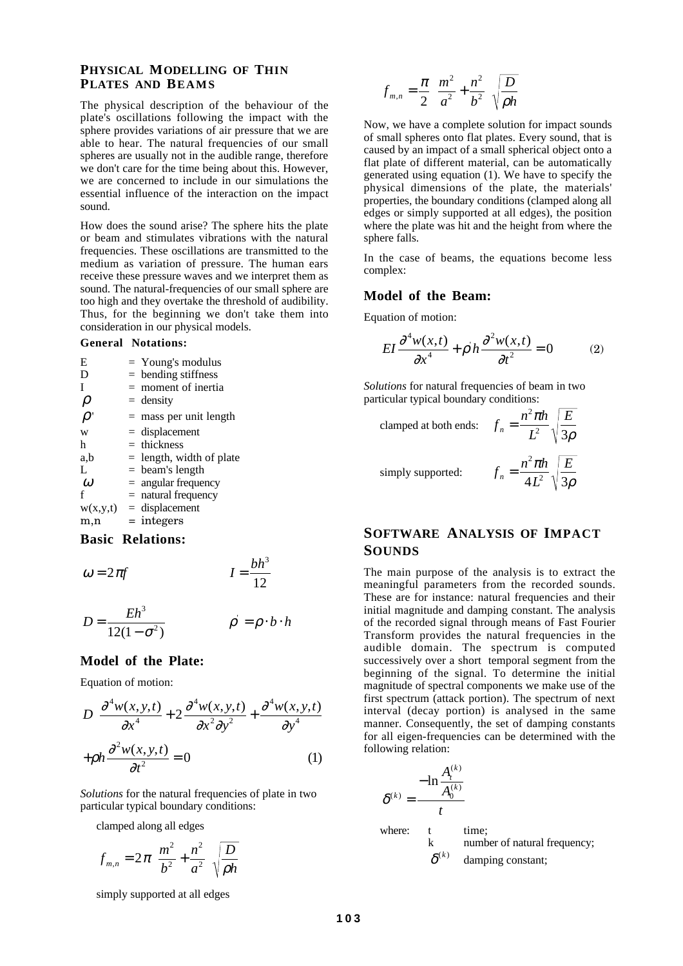# **PHYSICAL MODELLING OF THIN PLATES AND BEAMS**

The physical description of the behaviour of the plate's oscillations following the impact with the sphere provides variations of air pressure that we are able to hear. The natural frequencies of our small spheres are usually not in the audible range, therefore we don't care for the time being about this. However, we are concerned to include in our simulations the essential influence of the interaction on the impact sound.

How does the sound arise? The sphere hits the plate or beam and stimulates vibrations with the natural frequencies. These oscillations are transmitted to the medium as variation of pressure. The human ears receive these pressure waves and we interpret them as sound. The natural-frequencies of our small sphere are too high and they overtake the threshold of audibility. Thus, for the beginning we don't take them into consideration in our physical models.

### **General Notations:**

| E        | $=$ Young's modulus        |
|----------|----------------------------|
| D        | $=$ bending stiffness      |
| I        | $=$ moment of inertia      |
| $\mu$    | $=$ density                |
| ρ        | $=$ mass per unit length   |
| W        | $=$ displacement           |
| h        | $=$ thickness              |
| a,b      | $=$ length, width of plate |
| L        | $=$ beam's length          |
| $\omega$ | $=$ angular frequency      |
| f        | $=$ natural frequency      |
| W(x,y,t) | $=$ displacement           |
| m,n      | $=$ integers               |

# **Basic Relations:**

$$
\omega = 2\pi f \qquad \qquad I = \frac{bh^3}{12}
$$

$$
D = \frac{Eh^3}{12(1 - \sigma^2)} \qquad \rho = \rho \cdot b \cdot h
$$

# **Model of the Plate:**

Equation of motion:

$$
D\left(\frac{\partial^4 w(x, y, t)}{\partial x^4} + 2\frac{\partial^4 w(x, y, t)}{\partial x^2 \partial y^2} + \frac{\partial^4 w(x, y, t)}{\partial y^4}\right) + \rho h \frac{\partial^2 w(x, y, t)}{\partial t^2} = 0
$$
\n(1)

*Solutions* for the natural frequencies of plate in two particular typical boundary conditions:

clamped along all edges

$$
f_{m,n} = 2\pi \left(\frac{m^2}{b^2} + \frac{n^2}{a^2}\right) \sqrt{\frac{D}{\rho h}}
$$

simply supported at all edges

$$
f_{m,n} = \frac{\pi}{2} \left( \frac{m^2}{a^2} + \frac{n^2}{b^2} \right) \sqrt{\frac{D}{\rho h}}
$$

Now, we have a complete solution for impact sounds of small spheres onto flat plates. Every sound, that is caused by an impact of a small spherical object onto a flat plate of different material, can be automatically generated using equation (1). We have to specify the physical dimensions of the plate, the materials' properties, the boundary conditions (clamped along all edges or simply supported at all edges), the position where the plate was hit and the height from where the sphere falls.

In the case of beams, the equations become less complex:

# **Model of the Beam:**

Equation of motion:

$$
EI\frac{\partial^4 w(x,t)}{\partial x^4} + \rho' h \frac{\partial^2 w(x,t)}{\partial t^2} = 0
$$
 (2)

*Solutions* for natural frequencies of beam in two particular typical boundary conditions:

clamped at both ends:  $f_n = \frac{n^2 \pi h}{r^2}$  $L^2$ *E* 3ρ  $simplify supported:$  $^{2}$ *πh*  $4L^2$ *E* 3ρ

# **SOFTWARE ANALYSIS OF IMPACT SOUNDS**

The main purpose of the analysis is to extract the meaningful parameters from the recorded sounds. These are for instance: natural frequencies and their initial magnitude and damping constant. The analysis of the recorded signal through means of Fast Fourier Transform provides the natural frequencies in the audible domain. The spectrum is computed successively over a short temporal segment from the beginning of the signal. To determine the initial magnitude of spectral components we make use of the first spectrum (attack portion). The spectrum of next interval (decay portion) is analysed in the same manner. Consequently, the set of damping constants for all eigen-frequencies can be determined with the following relation:

$$
\delta^{(k)} = \frac{-\ln \frac{A_t^{(k)}}{A_0^{(k)}}}{t}
$$
  
where: t time; number of natural frequency;  

$$
\delta^{(k)}
$$
 damping constant;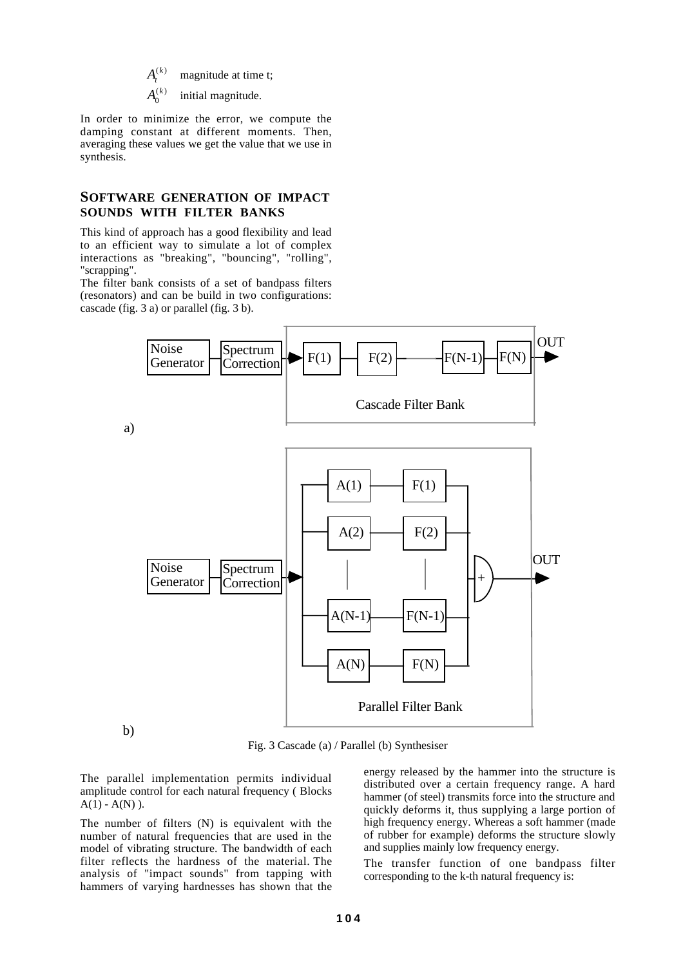$$
A_t^{(k)}
$$
 magnitude at time t;  

$$
A_0^{(k)}
$$
 initial magnitude.

In order to minimize the error, we compute the damping constant at different moments. Then, averaging these values we get the value that we use in synthesis.

# **SOFTWARE GENERATION OF IMPACT SOUNDS WITH FILTER BANKS**

This kind of approach has a good flexibility and lead to an efficient way to simulate a lot of complex interactions as "breaking", "bouncing", "rolling", "scrapping".

The filter bank consists of a set of bandpass filters (resonators) and can be build in two configurations: cascade (fig. 3 a) or parallel (fig. 3 b).



b)

Fig. 3 Cascade (a) / Parallel (b) Synthesiser

The parallel implementation permits individual amplitude control for each natural frequency ( Blocks  $A(1) - A(N)$ ).

The number of filters (N) is equivalent with the number of natural frequencies that are used in the model of vibrating structure. The bandwidth of each filter reflects the hardness of the material. The analysis of "impact sounds" from tapping with hammers of varying hardnesses has shown that the energy released by the hammer into the structure is distributed over a certain frequency range. A hard hammer (of steel) transmits force into the structure and quickly deforms it, thus supplying a large portion of high frequency energy. Whereas a soft hammer (made of rubber for example) deforms the structure slowly and supplies mainly low frequency energy.

The transfer function of one bandpass filter corresponding to the k-th natural frequency is: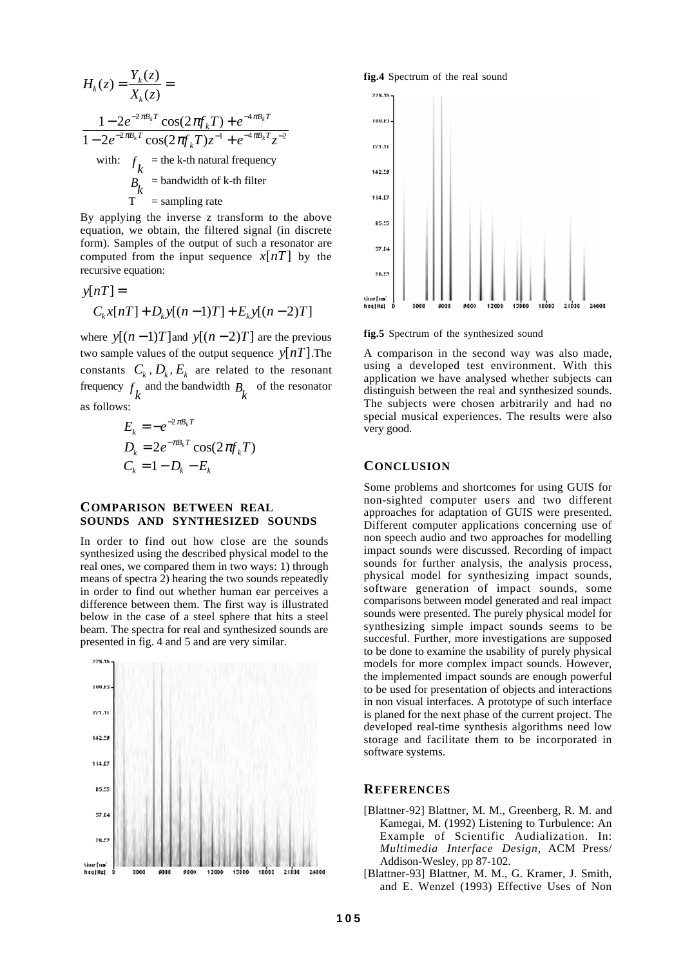$$
H_k(z) = \frac{Y_k(z)}{X_k(z)} =
$$
  

$$
\frac{1 - 2e^{-2\pi B_k T} \cos(2\pi f_k T) + e^{-4\pi B_k T}}{1 - 2e^{-2\pi B_k T} \cos(2\pi f_k T) z^{-1} + e^{-4\pi B_k T} z^{-2}}
$$
  
with:  $f_k$  = the k-th natural frequency  
 $B_k$  = bandwidth of k-th filter  
T = sampling rate

By applying the inverse z transform to the above equation, we obtain, the filtered signal (in discrete form). Samples of the output of such a resonator are computed from the input sequence  $x[nT]$  by the recursive equation:

$$
y[nT] =
$$
  
C<sub>k</sub>x[nT] + D<sub>k</sub>y[(n-1)T] + E<sub>k</sub>y[(n-2)T]

where  $y[(n-1)T]$  and  $y[(n-2)T]$  are the previous two sample values of the output sequence  $y[nT]$ . The constants  $C_k$ ,  $D_k$ ,  $E_k$  are related to the resonant frequency  $f_k$  and the bandwidth  $B_k$  of the resonator as follows:

$$
E_k = -e^{-2\pi B_k T}
$$
  
\n
$$
D_k = 2e^{-\pi B_k T} \cos(2\pi f_k T)
$$
  
\n
$$
C_k = 1 - D_k - E_k
$$

# **COMPARISON BETWEEN REAL SOUNDS AND SYNTHESIZED SOUNDS**

In order to find out how close are the sounds synthesized using the described physical model to the real ones, we compared them in two ways: 1) through means of spectra 2) hearing the two sounds repeatedly in order to find out whether human ear perceives a difference between them. The first way is illustrated below in the case of a steel sphere that hits a steel beam. The spectra for real and synthesized sounds are presented in fig. 4 and 5 and are very similar.



**fig.4** Spectrum of the real sound



**fig.5** Spectrum of the synthesized sound

A comparison in the second way was also made, using a developed test environment. With this application we have analysed whether subjects can distinguish between the real and synthesized sounds. The subjects were chosen arbitrarily and had no special musical experiences. The results were also very good.

### **CONCLUSION**

Some problems and shortcomes for using GUIS for non-sighted computer users and two different approaches for adaptation of GUIS were presented. Different computer applications concerning use of non speech audio and two approaches for modelling impact sounds were discussed. Recording of impact sounds for further analysis, the analysis process, physical model for synthesizing impact sounds, software generation of impact sounds, some comparisons between model generated and real impact sounds were presented. The purely physical model for synthesizing simple impact sounds seems to be succesful. Further, more investigations are supposed to be done to examine the usability of purely physical models for more complex impact sounds. However, the implemented impact sounds are enough powerful to be used for presentation of objects and interactions in non visual interfaces. A prototype of such interface is planed for the next phase of the current project. The developed real-time synthesis algorithms need low storage and facilitate them to be incorporated in software systems.

### **REFERENCES**

- [Blattner-92] Blattner, M. M., Greenberg, R. M. and Kamegai, M. (1992) Listening to Turbulence: An Example of Scientific Audialization. In: *Multimedia Interface Design,* ACM Press/ Addison-Wesley, pp 87-102.
- [Blattner-93] Blattner, M. M., G. Kramer, J. Smith, and E. Wenzel (1993) Effective Uses of Non